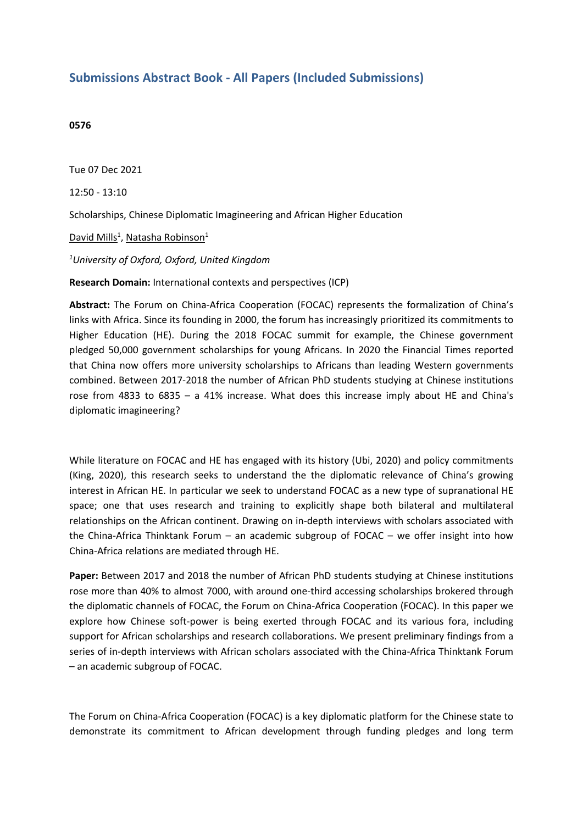## **Submissions Abstract Book - All Papers (Included Submissions)**

## **0576**

Tue 07 Dec 2021

12:50 - 13:10

Scholarships, Chinese Diplomatic Imagineering and African Higher Education

David Mills<sup>1</sup>, Natasha Robinson<sup>1</sup>

*1 University of Oxford, Oxford, United Kingdom*

**Research Domain:** International contexts and perspectives (ICP)

**Abstract:** The Forum on China-Africa Cooperation (FOCAC) represents the formalization of China's links with Africa. Since its founding in 2000, the forum has increasingly prioritized its commitments to Higher Education (HE). During the 2018 FOCAC summit for example, the Chinese government pledged 50,000 government scholarships for young Africans. In 2020 the Financial Times reported that China now offers more university scholarships to Africans than leading Western governments combined. Between 2017-2018 the number of African PhD students studying at Chinese institutions rose from 4833 to 6835 – <sup>a</sup> 41% increase. What does this increase imply about HE and China's diplomatic imagineering?

While literature on FOCAC and HE has engaged with its history (Ubi, 2020) and policy commitments (King, 2020), this research seeks to understand the the diplomatic relevance of China's growing interest in African HE. In particular we seek to understand FOCAC as <sup>a</sup> new type of supranational HE space; one that uses research and training to explicitly shape both bilateral and multilateral relationships on the African continent. Drawing on in-depth interviews with scholars associated with the China-Africa Thinktank Forum – an academic subgroup of FOCAC – we offer insight into how China-Africa relations are mediated through HE.

**Paper:** Between 2017 and 2018 the number of African PhD students studying at Chinese institutions rose more than 40% to almost 7000, with around one-third accessing scholarships brokered through the diplomatic channels of FOCAC, the Forum on China-Africa Cooperation (FOCAC). In this paper we explore how Chinese soft-power is being exerted through FOCAC and its various fora, including support for African scholarships and research collaborations. We present preliminary findings from <sup>a</sup> series of in-depth interviews with African scholars associated with the China-Africa Thinktank Forum – an academic subgroup of FOCAC.

The Forum on China-Africa Cooperation (FOCAC) is <sup>a</sup> key diplomatic platform for the Chinese state to demonstrate its commitment to African development through funding pledges and long term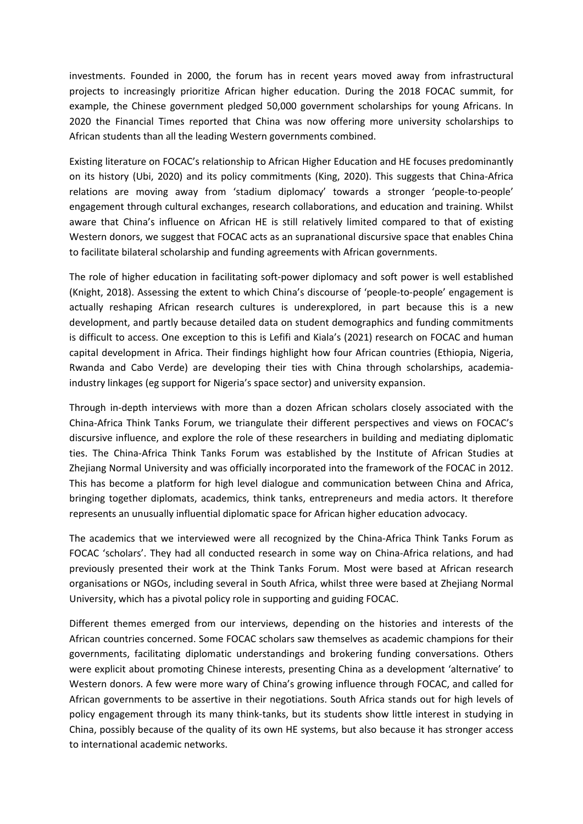investments. Founded in 2000, the forum has in recent years moved away from infrastructural projects to increasingly prioritize African higher education. During the 2018 FOCAC summit, for example, the Chinese government pledged 50,000 government scholarships for young Africans. In 2020 the Financial Times reported that China was now offering more university scholarships to African students than all the leading Western governments combined.

Existing literature on FOCAC's relationship to African Higher Education and HE focuses predominantly on its history (Ubi, 2020) and its policy commitments (King, 2020). This suggests that China-Africa relations are moving away from 'stadium diplomacy' towards <sup>a</sup> stronger 'people-to-people' engagement through cultural exchanges, research collaborations, and education and training. Whilst aware that China's influence on African HE is still relatively limited compared to that of existing Western donors, we suggest that FOCAC acts as an supranational discursive space that enables China to facilitate bilateral scholarship and funding agreements with African governments.

The role of higher education in facilitating soft-power diplomacy and soft power is well established (Knight, 2018). Assessing the extent to which China's discourse of 'people-to-people' engagement is actually reshaping African research cultures is underexplored, in part because this is <sup>a</sup> new development, and partly because detailed data on student demographics and funding commitments is difficult to access. One exception to this is Lefifi and Kiala's (2021) research on FOCAC and human capital development in Africa. Their findings highlight how four African countries (Ethiopia, Nigeria, Rwanda and Cabo Verde) are developing their ties with China through scholarships, academiaindustry linkages (eg support for Nigeria's space sector) and university expansion.

Through in-depth interviews with more than <sup>a</sup> dozen African scholars closely associated with the China-Africa Think Tanks Forum, we triangulate their different perspectives and views on FOCAC's discursive influence, and explore the role of these researchers in building and mediating diplomatic ties. The China-Africa Think Tanks Forum was established by the Institute of African Studies at Zhejiang Normal University and was officially incorporated into the framework of the FOCAC in 2012. This has become <sup>a</sup> platform for high level dialogue and communication between China and Africa, bringing together diplomats, academics, think tanks, entrepreneurs and media actors. It therefore represents an unusually influential diplomatic space for African higher education advocacy.

The academics that we interviewed were all recognized by the China-Africa Think Tanks Forum as FOCAC 'scholars'. They had all conducted research in some way on China-Africa relations, and had previously presented their work at the Think Tanks Forum. Most were based at African research organisations or NGOs, including several in South Africa, whilst three were based at Zhejiang Normal University, which has <sup>a</sup> pivotal policy role in supporting and guiding FOCAC.

Different themes emerged from our interviews, depending on the histories and interests of the African countries concerned. Some FOCAC scholars saw themselves as academic champions for their governments, facilitating diplomatic understandings and brokering funding conversations. Others were explicit about promoting Chinese interests, presenting China as <sup>a</sup> development 'alternative' to Western donors. A few were more wary of China's growing influence through FOCAC, and called for African governments to be assertive in their negotiations. South Africa stands out for high levels of policy engagement through its many think-tanks, but its students show little interest in studying in China, possibly because of the quality of its own HE systems, but also because it has stronger access to international academic networks.